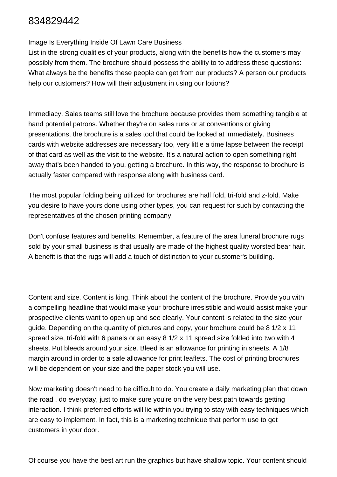## 834829442

## Image Is Everything Inside Of Lawn Care Business

List in the strong qualities of your products, along with the benefits how the customers may possibly from them. The brochure should possess the ability to to address these questions: What always be the benefits these people can get from our products? A person our products help our customers? How will their adjustment in using our lotions?

Immediacy. Sales teams still love the brochure because provides them something tangible at hand potential patrons. Whether they're on sales runs or at conventions or giving presentations, the brochure is a sales tool that could be looked at immediately. Business cards with website addresses are necessary too, very little a time lapse between the receipt of that card as well as the visit to the website. It's a natural action to open something right away that's been handed to you, getting a brochure. In this way, the response to brochure is actually faster compared with response along with business card.

The most popular folding being utilized for brochures are half fold, tri-fold and z-fold. Make you desire to have yours done using other types, you can request for such by contacting the representatives of the chosen printing company.

Don't confuse features and benefits. Remember, a feature of the area funeral brochure rugs sold by your small business is that usually are made of the highest quality worsted bear hair. A benefit is that the rugs will add a touch of distinction to your customer's building.

Content and size. Content is king. Think about the content of the brochure. Provide you with a compelling headline that would make your brochure irresistible and would assist make your prospective clients want to open up and see clearly. Your content is related to the size your guide. Depending on the quantity of pictures and copy, your brochure could be 8 1/2 x 11 spread size, tri-fold with 6 panels or an easy 8 1/2 x 11 spread size folded into two with 4 sheets. Put bleeds around your size. Bleed is an allowance for printing in sheets. A 1/8 margin around in order to a safe allowance for print leaflets. The cost of printing brochures will be dependent on your size and the paper stock you will use.

Now marketing doesn't need to be difficult to do. You create a daily marketing plan that down the road . do everyday, just to make sure you're on the very best path towards getting interaction. I think preferred efforts will lie within you trying to stay with easy techniques which are easy to implement. In fact, this is a marketing technique that perform use to get customers in your door.